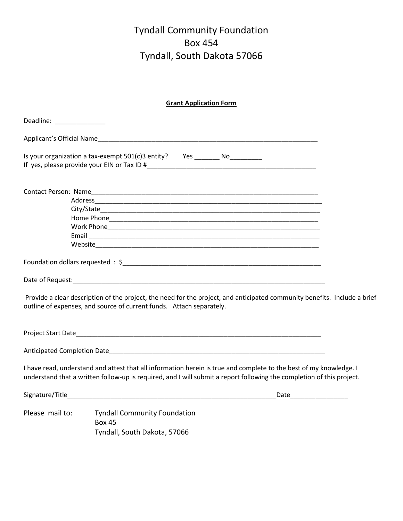# Tyndall Community Foundation Box 454 Tyndall, South Dakota 57066

| <b>Grant Application Form</b>                                                   |                                                                                                                                                                                                                                             |  |
|---------------------------------------------------------------------------------|---------------------------------------------------------------------------------------------------------------------------------------------------------------------------------------------------------------------------------------------|--|
| Deadline: ______________                                                        |                                                                                                                                                                                                                                             |  |
|                                                                                 |                                                                                                                                                                                                                                             |  |
| Is your organization a tax-exempt 501(c)3 entity?  Yes ________ No_____________ |                                                                                                                                                                                                                                             |  |
|                                                                                 |                                                                                                                                                                                                                                             |  |
|                                                                                 |                                                                                                                                                                                                                                             |  |
|                                                                                 |                                                                                                                                                                                                                                             |  |
|                                                                                 |                                                                                                                                                                                                                                             |  |
|                                                                                 |                                                                                                                                                                                                                                             |  |
|                                                                                 |                                                                                                                                                                                                                                             |  |
|                                                                                 |                                                                                                                                                                                                                                             |  |
|                                                                                 | Date of Request: National Accounts of Regional Accounts of Requests and Accounts of Requests and Accounts of Re                                                                                                                             |  |
|                                                                                 | Provide a clear description of the project, the need for the project, and anticipated community benefits. Include a brief<br>outline of expenses, and source of current funds. Attach separately.                                           |  |
|                                                                                 |                                                                                                                                                                                                                                             |  |
|                                                                                 |                                                                                                                                                                                                                                             |  |
|                                                                                 | I have read, understand and attest that all information herein is true and complete to the best of my knowledge. I<br>understand that a written follow-up is required, and I will submit a report following the completion of this project. |  |
|                                                                                 |                                                                                                                                                                                                                                             |  |
| Please mail to:                                                                 | <b>Tyndall Community Foundation</b><br><b>Box 45</b>                                                                                                                                                                                        |  |
|                                                                                 | Tyndall, South Dakota, 57066                                                                                                                                                                                                                |  |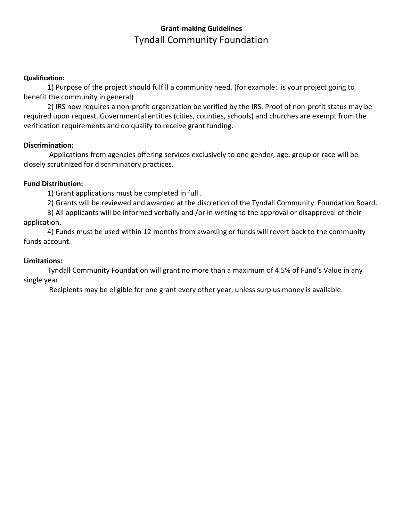## **Grant-making Guidelines** Tyndall Community Foundation

#### **Qualification:**

1) Purpose of the project should fulfill a community need. (for example: is your project going to benefit the community in general)

2) IRS now requires a non-profit organization be verified by the IRS. Proof of non-profit status may be required upon request. Governmental entities (cities, counties, schools) and churches are exempt from the verification requirements and do qualify to receive grant funding.

### **Discrimination:**

Applications from agencies offering services exclusively to one gender, age, group or race will be closely scrutinized for discriminatory practices.

### **Fund Distribution:**

1) Grant applications must be completed in full .

2) Grants will be reviewed and awarded at the discretion of the Tyndall Community Foundation Board.

3) All applicants will be informed verbally and /or in writing to the approval or disapproval of their application.

4) Funds must be used within 12 months from awarding or funds will revert back to the community funds account.

#### **Limitations:**

Tyndall Community Foundation will grant no more than a maximum of 4.5% of Fund's Value in any single year.

Recipients may be eligible for one grant every other year, unless surplus money is available.